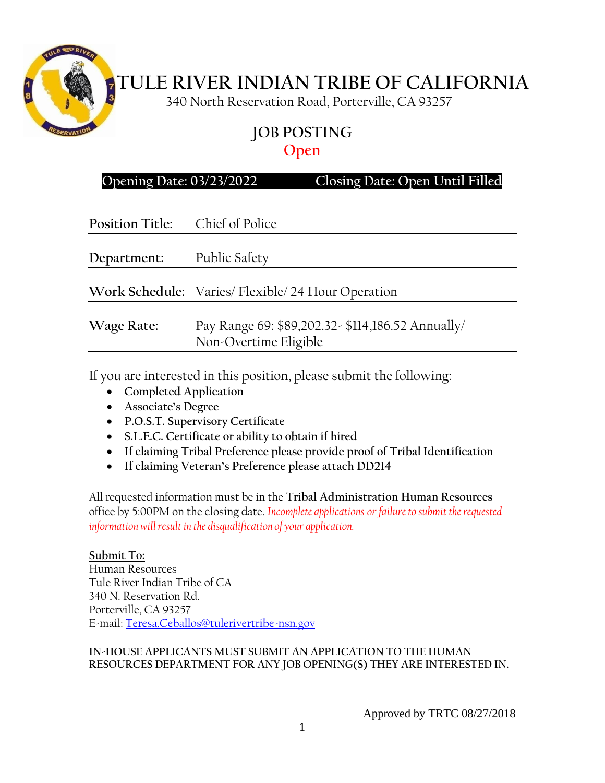

# **TULE RIVER INDIAN TRIBE OF CALIFORNIA**

340 North Reservation Road, Porterville, CA 93257

# **JOB POSTING Open**

| Opening Date: 03/23/2022 |  |  |
|--------------------------|--|--|
|                          |  |  |

**Opening Date: 03/23/2022 Closing Date: Open Until Filled**

| Position Title: Chief of Police |                                                                           |
|---------------------------------|---------------------------------------------------------------------------|
| Department:                     | Public Safety                                                             |
|                                 | Work Schedule: Varies/ Flexible/ 24 Hour Operation                        |
| Wage Rate:                      | Pay Range 69: \$89,202.32-\$114,186.52 Annually/<br>Non-Overtime Eligible |

If you are interested in this position, please submit the following:

- **Completed Application**
- **Associate's Degree**
- **P.O.S.T. Supervisory Certificate**
- **S.L.E.C. Certificate or ability to obtain if hired**
- **If claiming Tribal Preference please provide proof of Tribal Identification**
- **If claiming Veteran's Preference please attach DD214**

All requested information must be in the **Tribal Administration Human Resources** office by 5:00PM on the closing date. *Incomplete applications or failure to submit the requested information will result in the disqualification of your application.*

**Submit To:** Human Resources Tule River Indian Tribe of CA 340 N. Reservation Rd. Porterville, CA 93257 E-mail: [Teresa.Ceballos@tulerivertribe-nsn.gov](mailto:Teresa.Ceballos@tulerivertribe-nsn.gov)

#### **IN-HOUSE APPLICANTS MUST SUBMIT AN APPLICATION TO THE HUMAN RESOURCES DEPARTMENT FOR ANY JOB OPENING(S) THEY ARE INTERESTED IN.**

Approved by TRTC 08/27/2018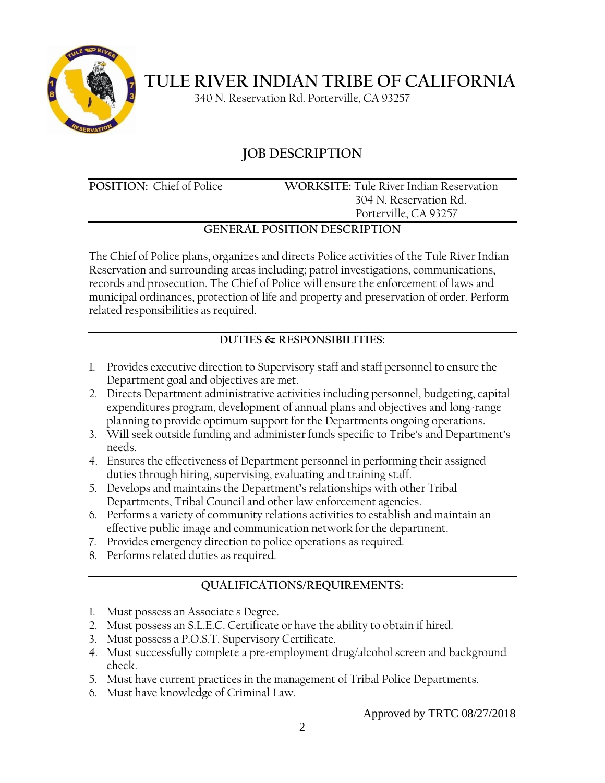

**TULE RIVER INDIAN TRIBE OF CALIFORNIA**

340 N. Reservation Rd. Porterville, CA 93257

# **JOB DESCRIPTION**

**POSITION:** Chief of Police **WORKSITE:** Tule River Indian Reservation 304 N. Reservation Rd. Porterville, CA 93257

## **GENERAL POSITION DESCRIPTION**

The Chief of Police plans, organizes and directs Police activities of the Tule River Indian Reservation and surrounding areas including; patrol investigations, communications, records and prosecution. The Chief of Police will ensure the enforcement of laws and municipal ordinances, protection of life and property and preservation of order. Perform related responsibilities as required.

# **DUTIES & RESPONSIBILITIES:**

- 1. Provides executive direction to Supervisory staff and staff personnel to ensure the Department goal and objectives are met.
- 2. Directs Department administrative activities including personnel, budgeting, capital expenditures program, development of annual plans and objectives and long-range planning to provide optimum support for the Departments ongoing operations.
- 3. Will seek outside funding and administer funds specific to Tribe's and Department's needs.
- 4. Ensures the effectiveness of Department personnel in performing their assigned duties through hiring, supervising, evaluating and training staff.
- 5. Develops and maintains the Department's relationships with other Tribal Departments, Tribal Council and other law enforcement agencies.
- 6. Performs a variety of community relations activities to establish and maintain an effective public image and communication network for the department.
- 7. Provides emergency direction to police operations as required.
- 8. Performs related duties as required.

# **QUALIFICATIONS/REQUIREMENTS:**

- 1. Must possess an Associate's Degree.
- 2. Must possess an S.L.E.C. Certificate or have the ability to obtain if hired.
- 3. Must possess a P.O.S.T. Supervisory Certificate.
- 4. Must successfully complete a pre-employment drug/alcohol screen and background check.
- 5. Must have current practices in the management of Tribal Police Departments.
- 6. Must have knowledge of Criminal Law.

#### Approved by TRTC 08/27/2018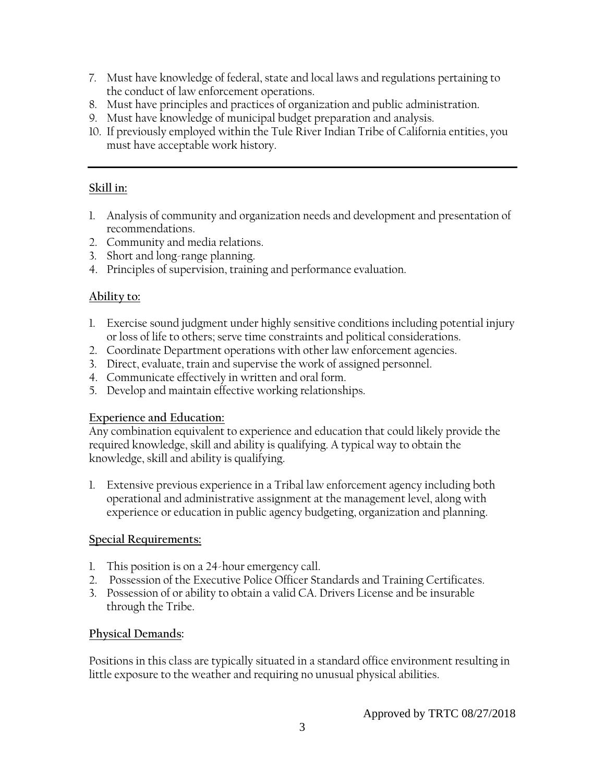- 7. Must have knowledge of federal, state and local laws and regulations pertaining to the conduct of law enforcement operations.
- 8. Must have principles and practices of organization and public administration.
- 9. Must have knowledge of municipal budget preparation and analysis.
- 10. If previously employed within the Tule River Indian Tribe of California entities, you must have acceptable work history.

#### **Skill in:**

- 1. Analysis of community and organization needs and development and presentation of recommendations.
- 2. Community and media relations.
- 3. Short and long-range planning.
- 4. Principles of supervision, training and performance evaluation.

#### **Ability to:**

- 1. Exercise sound judgment under highly sensitive conditions including potential injury or loss of life to others; serve time constraints and political considerations.
- 2. Coordinate Department operations with other law enforcement agencies.
- 3. Direct, evaluate, train and supervise the work of assigned personnel.
- 4. Communicate effectively in written and oral form.
- 5. Develop and maintain effective working relationships.

## **Experience and Education:**

Any combination equivalent to experience and education that could likely provide the required knowledge, skill and ability is qualifying. A typical way to obtain the knowledge, skill and ability is qualifying.

1. Extensive previous experience in a Tribal law enforcement agency including both operational and administrative assignment at the management level, along with experience or education in public agency budgeting, organization and planning.

#### **Special Requirements:**

- 1. This position is on a 24-hour emergency call.
- 2. Possession of the Executive Police Officer Standards and Training Certificates.
- 3. Possession of or ability to obtain a valid CA. Drivers License and be insurable through the Tribe.

## **Physical Demands:**

Positions in this class are typically situated in a standard office environment resulting in little exposure to the weather and requiring no unusual physical abilities.